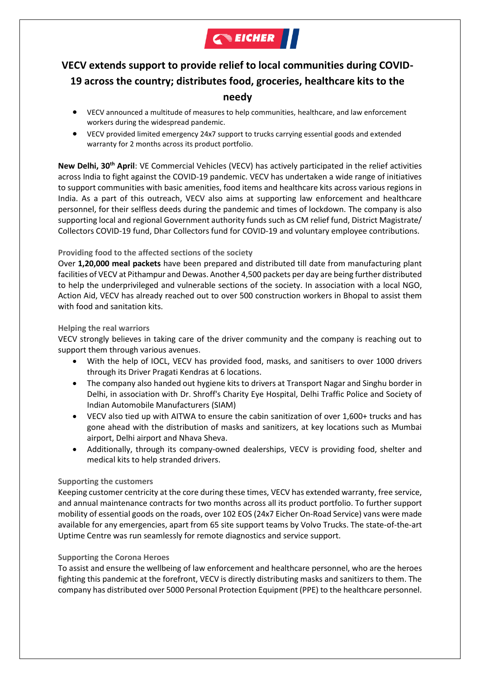

# **VECV extends support to provide relief to local communities during COVID-19 across the country; distributes food, groceries, healthcare kits to the needy**

- VECV announced a multitude of measures to help communities, healthcare, and law enforcement workers during the widespread pandemic.
- VECV provided limited emergency 24x7 support to trucks carrying essential goods and extended warranty for 2 months across its product portfolio.

**New Delhi, 30th April**: VE Commercial Vehicles (VECV) has actively participated in the relief activities across India to fight against the COVID-19 pandemic. VECV has undertaken a wide range of initiatives to support communities with basic amenities, food items and healthcare kits across various regions in India. As a part of this outreach, VECV also aims at supporting law enforcement and healthcare personnel, for their selfless deeds during the pandemic and times of lockdown. The company is also supporting local and regional Government authority funds such as CM relief fund, District Magistrate/ Collectors COVID-19 fund, Dhar Collectors fund for COVID-19 and voluntary employee contributions.

## **Providing food to the affected sections of the society**

Over **1,20,000 meal packets** have been prepared and distributed till date from manufacturing plant facilities of VECV at Pithampur and Dewas. Another 4,500 packets per day are being further distributed to help the underprivileged and vulnerable sections of the society. In association with a local NGO, Action Aid, VECV has already reached out to over 500 construction workers in Bhopal to assist them with food and sanitation kits.

#### **Helping the real warriors**

VECV strongly believes in taking care of the driver community and the company is reaching out to support them through various avenues.

- With the help of IOCL, VECV has provided food, masks, and sanitisers to over 1000 drivers through its Driver Pragati Kendras at 6 locations.
- The company also handed out hygiene kits to drivers at Transport Nagar and Singhu border in Delhi, in association with Dr. Shroff's Charity Eye Hospital, Delhi Traffic Police and Society of Indian Automobile Manufacturers (SIAM)
- VECV also tied up with AITWA to ensure the cabin sanitization of over 1,600+ trucks and has gone ahead with the distribution of masks and sanitizers, at key locations such as Mumbai airport, Delhi airport and Nhava Sheva.
- Additionally, through its company-owned dealerships, VECV is providing food, shelter and medical kits to help stranded drivers.

#### **Supporting the customers**

Keeping customer centricity at the core during these times, VECV has extended warranty, free service, and annual maintenance contracts for two months across all its product portfolio. To further support mobility of essential goods on the roads, over 102 EOS (24x7 Eicher On-Road Service) vans were made available for any emergencies, apart from 65 site support teams by Volvo Trucks. The state-of-the-art Uptime Centre was run seamlessly for remote diagnostics and service support.

#### **Supporting the Corona Heroes**

To assist and ensure the wellbeing of law enforcement and healthcare personnel, who are the heroes fighting this pandemic at the forefront, VECV is directly distributing masks and sanitizers to them. The company has distributed over 5000 Personal Protection Equipment (PPE) to the healthcare personnel.